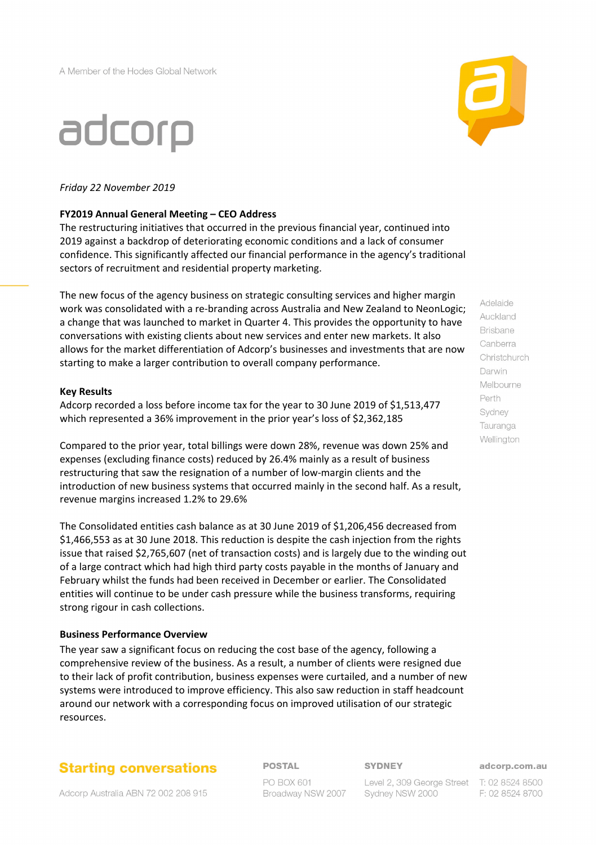## adcorp

### *Friday 22 November 2019*

### **FY2019 Annual General Meeting – CEO Address**

The restructuring initiatives that occurred in the previous financial year, continued into 2019 against a backdrop of deteriorating economic conditions and a lack of consumer confidence. This significantly affected our financial performance in the agency's traditional sectors of recruitment and residential property marketing.

The new focus of the agency business on strategic consulting services and higher margin work was consolidated with a re-branding across Australia and New Zealand to NeonLogic; a change that was launched to market in Quarter 4. This provides the opportunity to have conversations with existing clients about new services and enter new markets. It also allows for the market differentiation of Adcorp's businesses and investments that are now starting to make a larger contribution to overall company performance.

#### **Key Results**

Adcorp recorded a loss before income tax for the year to 30 June 2019 of \$1,513,477 which represented a 36% improvement in the prior year's loss of \$2,362,185

Compared to the prior year, total billings were down 28%, revenue was down 25% and expenses (excluding finance costs) reduced by 26.4% mainly as a result of business restructuring that saw the resignation of a number of low-margin clients and the introduction of new business systems that occurred mainly in the second half. As a result, revenue margins increased 1.2% to 29.6%

The Consolidated entities cash balance as at 30 June 2019 of \$1,206,456 decreased from \$1,466,553 as at 30 June 2018. This reduction is despite the cash injection from the rights issue that raised \$2,765,607 (net of transaction costs) and is largely due to the winding out of a large contract which had high third party costs payable in the months of January and February whilst the funds had been received in December or earlier. The Consolidated entities will continue to be under cash pressure while the business transforms, requiring strong rigour in cash collections.

### **Business Performance Overview**

The year saw a significant focus on reducing the cost base of the agency, following a comprehensive review of the business. As a result, a number of clients were resigned due to their lack of profit contribution, business expenses were curtailed, and a number of new systems were introduced to improve efficiency. This also saw reduction in staff headcount around our network with a corresponding focus on improved utilisation of our strategic resources.

## **Starting conversations**

Adcorp Australia ABN 72 002 208 915

**POSTAL** 

**PO BOX 601** Broadway NSW 2007 **SYDNEY** 

Level 2, 309 George Street T: 02 8524 8500 Sydney NSW 2000

adcorp.com.au

F: 02 8524 8700



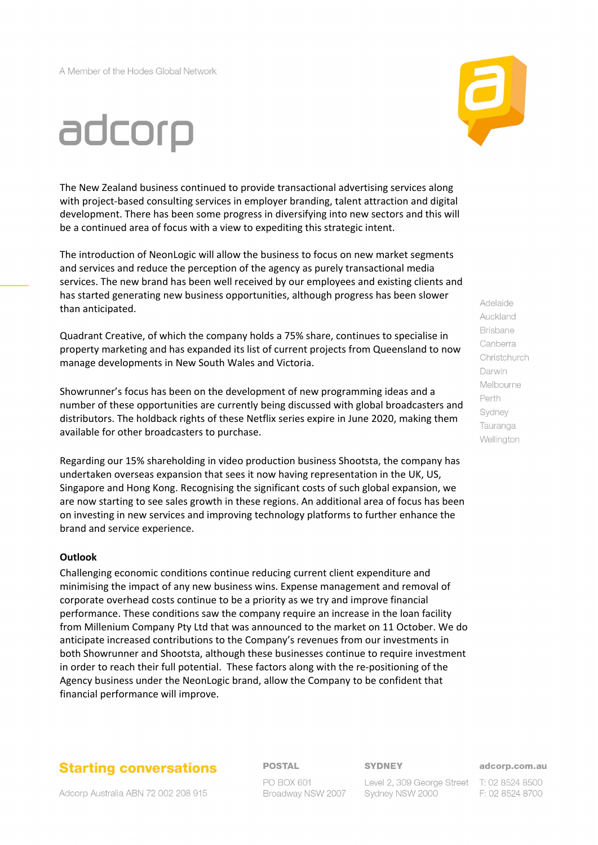# adcorp

The New Zealand business continued to provide transactional advertising services along with project-based consulting services in employer branding, talent attraction and digital development. There has been some progress in diversifying into new sectors and this will be a continued area of focus with a view to expediting this strategic intent.

The introduction of NeonLogic will allow the business to focus on new market segments and services and reduce the perception of the agency as purely transactional media services. The new brand has been well received by our employees and existing clients and has started generating new business opportunities, although progress has been slower than anticipated.

Quadrant Creative, of which the company holds a 75% share, continues to specialise in property marketing and has expanded its list of current projects from Queensland to now manage developments in New South Wales and Victoria.

Showrunner's focus has been on the development of new programming ideas and a number of these opportunities are currently being discussed with global broadcasters and distributors. The holdback rights of these Netflix series expire in June 2020, making them available for other broadcasters to purchase.

Regarding our 15% shareholding in video production business Shootsta, the company has undertaken overseas expansion that sees it now having representation in the UK, US, Singapore and Hong Kong. Recognising the significant costs of such global expansion, we are now starting to see sales growth in these regions. An additional area of focus has been on investing in new services and improving technology platforms to further enhance the brand and service experience.

#### **Outlook**

Challenging economic conditions continue reducing current client expenditure and minimising the impact of any new business wins. Expense management and removal of corporate overhead costs continue to be a priority as we try and improve financial performance. These conditions saw the company require an increase in the loan facility from Millenium Company Pty Ltd that was announced to the market on 11 October. We do anticipate increased contributions to the Company's revenues from our investments in both Showrunner and Shootsta, although these businesses continue to require investment in order to reach their full potential. These factors along with the re-positioning of the Agency business under the NeonLogic brand, allow the Company to be confident that financial performance will improve.

## **Starting conversations**

Adcorp Australia ABN 72 002 208 915

## **POSTAL**

**PO BOX 601** Broadway NSW 2007 **SYDNEY** 

Level 2, 309 George Street T: 02 8524 8500 Sydney NSW 2000

adcorp.com.au

F: 02 8524 8700

## Adelaide Auckland **Brisbane** Canberra Christchurch Darwin Melbourne Perth Sydney Tauranga Wellington